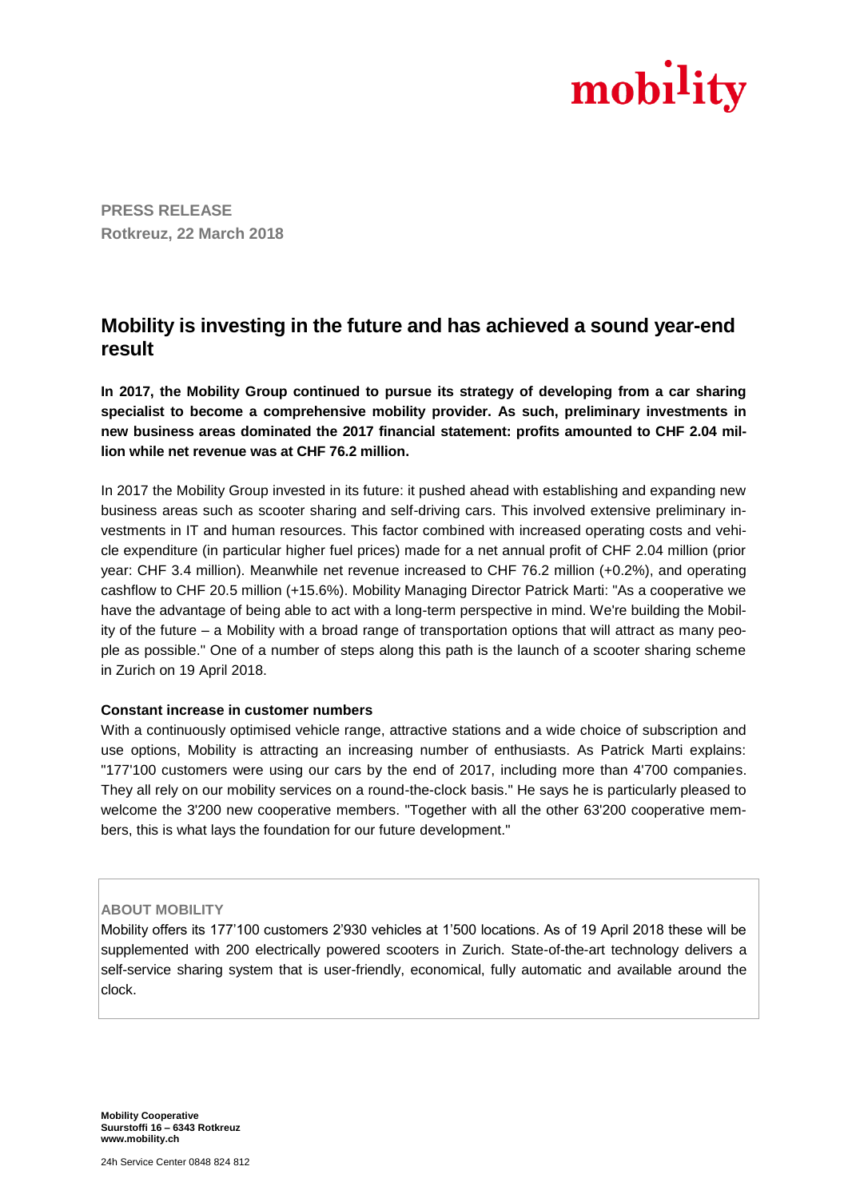

**PRESS RELEASE Rotkreuz, 22 March 2018**

# **Mobility is investing in the future and has achieved a sound year-end result**

**In 2017, the Mobility Group continued to pursue its strategy of developing from a car sharing specialist to become a comprehensive mobility provider. As such, preliminary investments in new business areas dominated the 2017 financial statement: profits amounted to CHF 2.04 million while net revenue was at CHF 76.2 million.**

In 2017 the Mobility Group invested in its future: it pushed ahead with establishing and expanding new business areas such as scooter sharing and self-driving cars. This involved extensive preliminary investments in IT and human resources. This factor combined with increased operating costs and vehicle expenditure (in particular higher fuel prices) made for a net annual profit of CHF 2.04 million (prior year: CHF 3.4 million). Meanwhile net revenue increased to CHF 76.2 million (+0.2%), and operating cashflow to CHF 20.5 million (+15.6%). Mobility Managing Director Patrick Marti: "As a cooperative we have the advantage of being able to act with a long-term perspective in mind. We're building the Mobility of the future – a Mobility with a broad range of transportation options that will attract as many people as possible." One of a number of steps along this path is the launch of a scooter sharing scheme in Zurich on 19 April 2018.

#### **Constant increase in customer numbers**

With a continuously optimised vehicle range, attractive stations and a wide choice of subscription and use options, Mobility is attracting an increasing number of enthusiasts. As Patrick Marti explains: "177'100 customers were using our cars by the end of 2017, including more than 4'700 companies. They all rely on our mobility services on a round-the-clock basis." He says he is particularly pleased to welcome the 3'200 new cooperative members. "Together with all the other 63'200 cooperative members, this is what lays the foundation for our future development."

#### **ABOUT MOBILITY**

Mobility offers its 177'100 customers 2'930 vehicles at 1'500 locations. As of 19 April 2018 these will be supplemented with 200 electrically powered scooters in Zurich. State-of-the-art technology delivers a self-service sharing system that is user-friendly, economical, fully automatic and available around the clock.

**Mobility Cooperative Suurstoffi 16 – 6343 Rotkreuz www.mobility.ch**